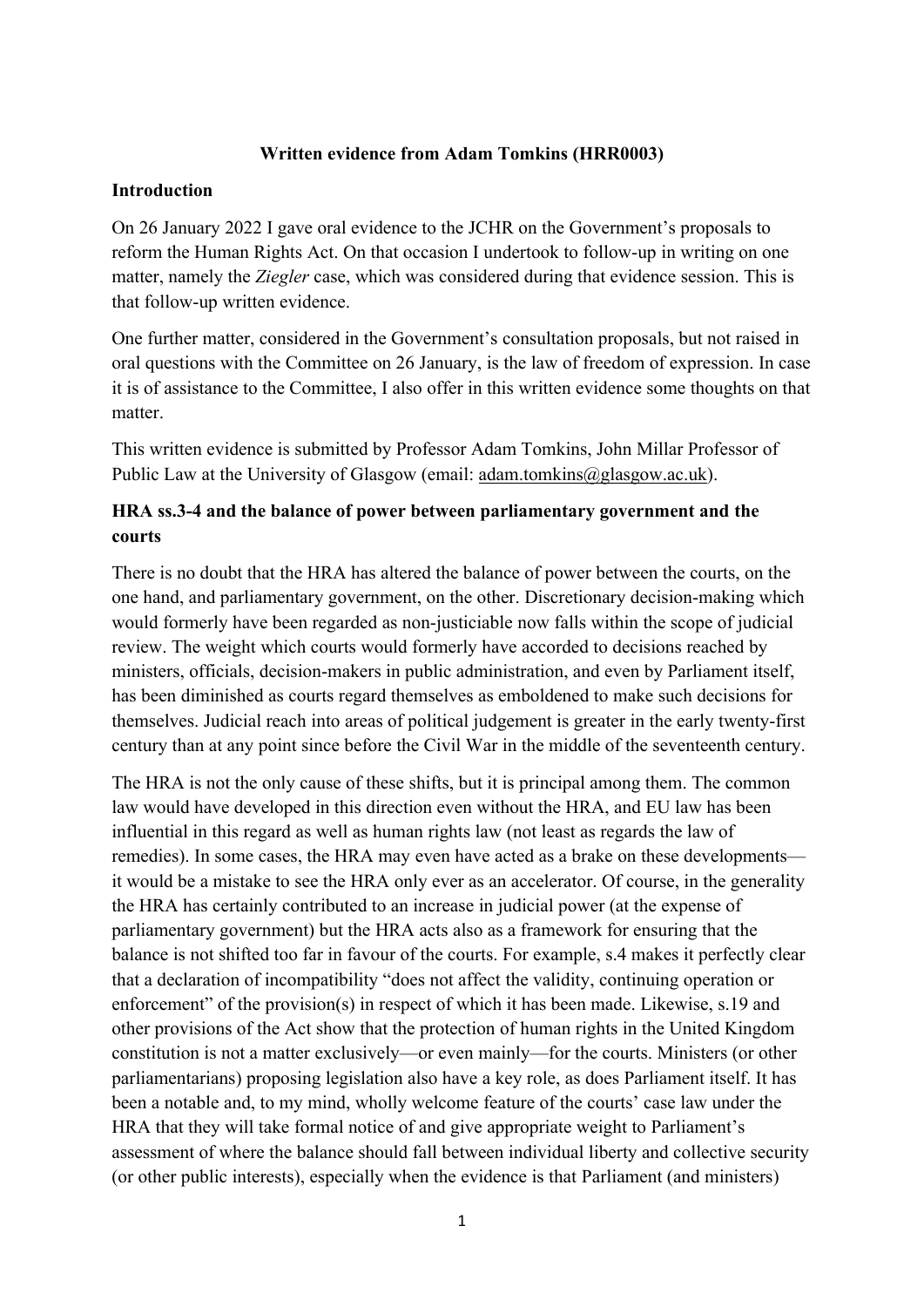## **Written evidence from Adam Tomkins (HRR0003)**

## **Introduction**

On 26 January 2022 I gave oral evidence to the JCHR on the Government's proposals to reform the Human Rights Act. On that occasion I undertook to follow-up in writing on one matter, namely the *Ziegler* case, which was considered during that evidence session. This is that follow-up written evidence.

One further matter, considered in the Government's consultation proposals, but not raised in oral questions with the Committee on 26 January, is the law of freedom of expression. In case it is of assistance to the Committee, I also offer in this written evidence some thoughts on that matter.

This written evidence is submitted by Professor Adam Tomkins, John Millar Professor of Public Law at the University of Glasgow (email: [adam.tomkins@glasgow.ac.uk\)](mailto:adam.tomkins@glasgow.ac.uk).

## **HRA ss.3-4 and the balance of power between parliamentary government and the courts**

There is no doubt that the HRA has altered the balance of power between the courts, on the one hand, and parliamentary government, on the other. Discretionary decision-making which would formerly have been regarded as non-justiciable now falls within the scope of judicial review. The weight which courts would formerly have accorded to decisions reached by ministers, officials, decision-makers in public administration, and even by Parliament itself, has been diminished as courts regard themselves as emboldened to make such decisions for themselves. Judicial reach into areas of political judgement is greater in the early twenty-first century than at any point since before the Civil War in the middle of the seventeenth century.

The HRA is not the only cause of these shifts, but it is principal among them. The common law would have developed in this direction even without the HRA, and EU law has been influential in this regard as well as human rights law (not least as regards the law of remedies). In some cases, the HRA may even have acted as a brake on these developments it would be a mistake to see the HRA only ever as an accelerator. Of course, in the generality the HRA has certainly contributed to an increase in judicial power (at the expense of parliamentary government) but the HRA acts also as a framework for ensuring that the balance is not shifted too far in favour of the courts. For example, s.4 makes it perfectly clear that a declaration of incompatibility "does not affect the validity, continuing operation or enforcement" of the provision(s) in respect of which it has been made. Likewise, s.19 and other provisions of the Act show that the protection of human rights in the United Kingdom constitution is not a matter exclusively—or even mainly—for the courts. Ministers (or other parliamentarians) proposing legislation also have a key role, as does Parliament itself. It has been a notable and, to my mind, wholly welcome feature of the courts' case law under the HRA that they will take formal notice of and give appropriate weight to Parliament's assessment of where the balance should fall between individual liberty and collective security (or other public interests), especially when the evidence is that Parliament (and ministers)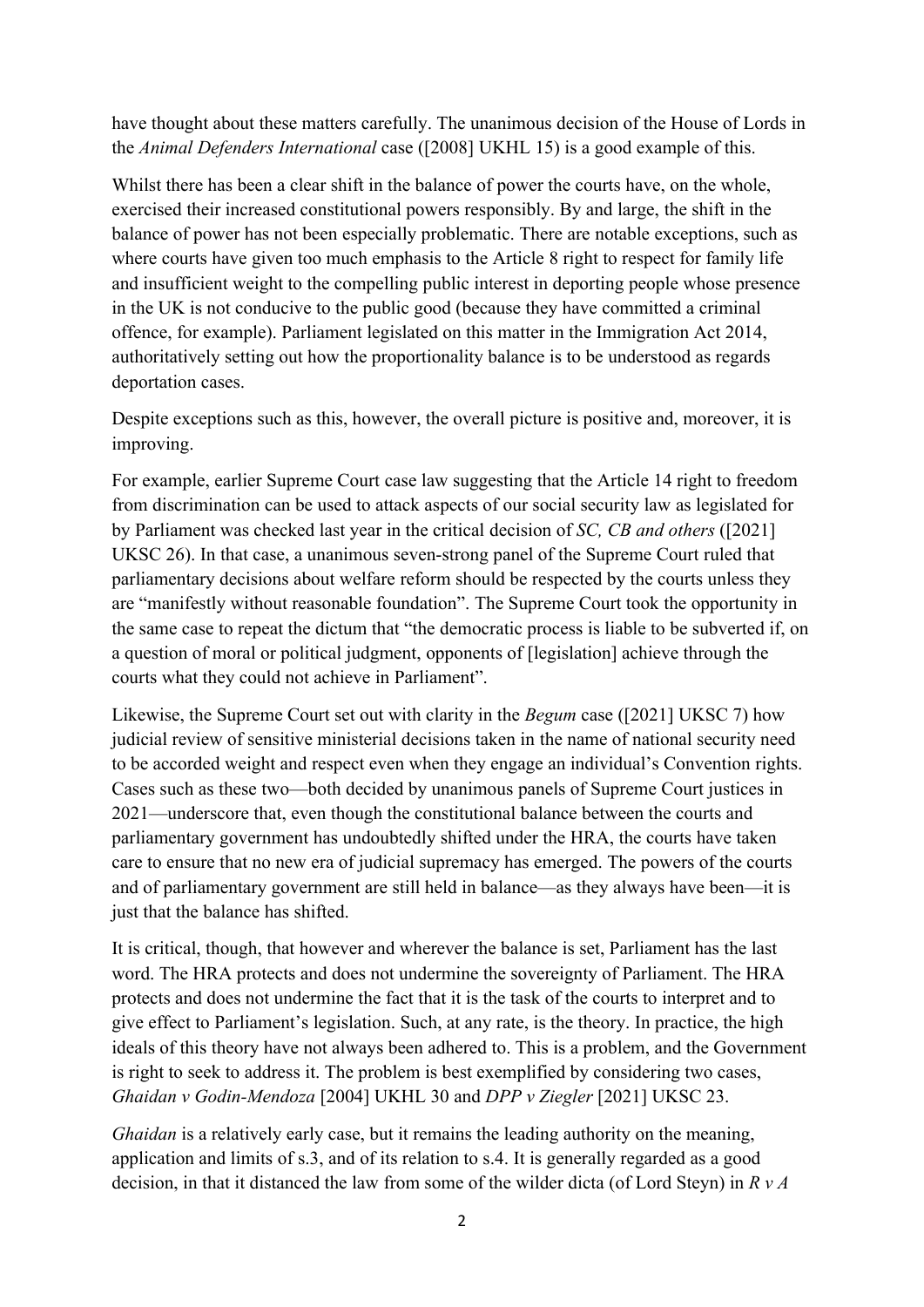have thought about these matters carefully. The unanimous decision of the House of Lords in the *Animal Defenders International* case ([2008] UKHL 15) is a good example of this.

Whilst there has been a clear shift in the balance of power the courts have, on the whole, exercised their increased constitutional powers responsibly. By and large, the shift in the balance of power has not been especially problematic. There are notable exceptions, such as where courts have given too much emphasis to the Article 8 right to respect for family life and insufficient weight to the compelling public interest in deporting people whose presence in the UK is not conducive to the public good (because they have committed a criminal offence, for example). Parliament legislated on this matter in the Immigration Act 2014, authoritatively setting out how the proportionality balance is to be understood as regards deportation cases.

Despite exceptions such as this, however, the overall picture is positive and, moreover, it is improving.

For example, earlier Supreme Court case law suggesting that the Article 14 right to freedom from discrimination can be used to attack aspects of our social security law as legislated for by Parliament was checked last year in the critical decision of *SC, CB and others* ([2021] UKSC 26). In that case, a unanimous seven-strong panel of the Supreme Court ruled that parliamentary decisions about welfare reform should be respected by the courts unless they are "manifestly without reasonable foundation". The Supreme Court took the opportunity in the same case to repeat the dictum that "the democratic process is liable to be subverted if, on a question of moral or political judgment, opponents of [legislation] achieve through the courts what they could not achieve in Parliament".

Likewise, the Supreme Court set out with clarity in the *Begum* case ([2021] UKSC 7) how judicial review of sensitive ministerial decisions taken in the name of national security need to be accorded weight and respect even when they engage an individual's Convention rights. Cases such as these two—both decided by unanimous panels of Supreme Court justices in 2021—underscore that, even though the constitutional balance between the courts and parliamentary government has undoubtedly shifted under the HRA, the courts have taken care to ensure that no new era of judicial supremacy has emerged. The powers of the courts and of parliamentary government are still held in balance—as they always have been—it is just that the balance has shifted.

It is critical, though, that however and wherever the balance is set, Parliament has the last word. The HRA protects and does not undermine the sovereignty of Parliament. The HRA protects and does not undermine the fact that it is the task of the courts to interpret and to give effect to Parliament's legislation. Such, at any rate, is the theory. In practice, the high ideals of this theory have not always been adhered to. This is a problem, and the Government is right to seek to address it. The problem is best exemplified by considering two cases, *Ghaidan v Godin-Mendoza* [2004] UKHL 30 and *DPP v Ziegler* [2021] UKSC 23.

*Ghaidan* is a relatively early case, but it remains the leading authority on the meaning. application and limits of s.3, and of its relation to s.4. It is generally regarded as a good decision, in that it distanced the law from some of the wilder dicta (of Lord Steyn) in *R v A*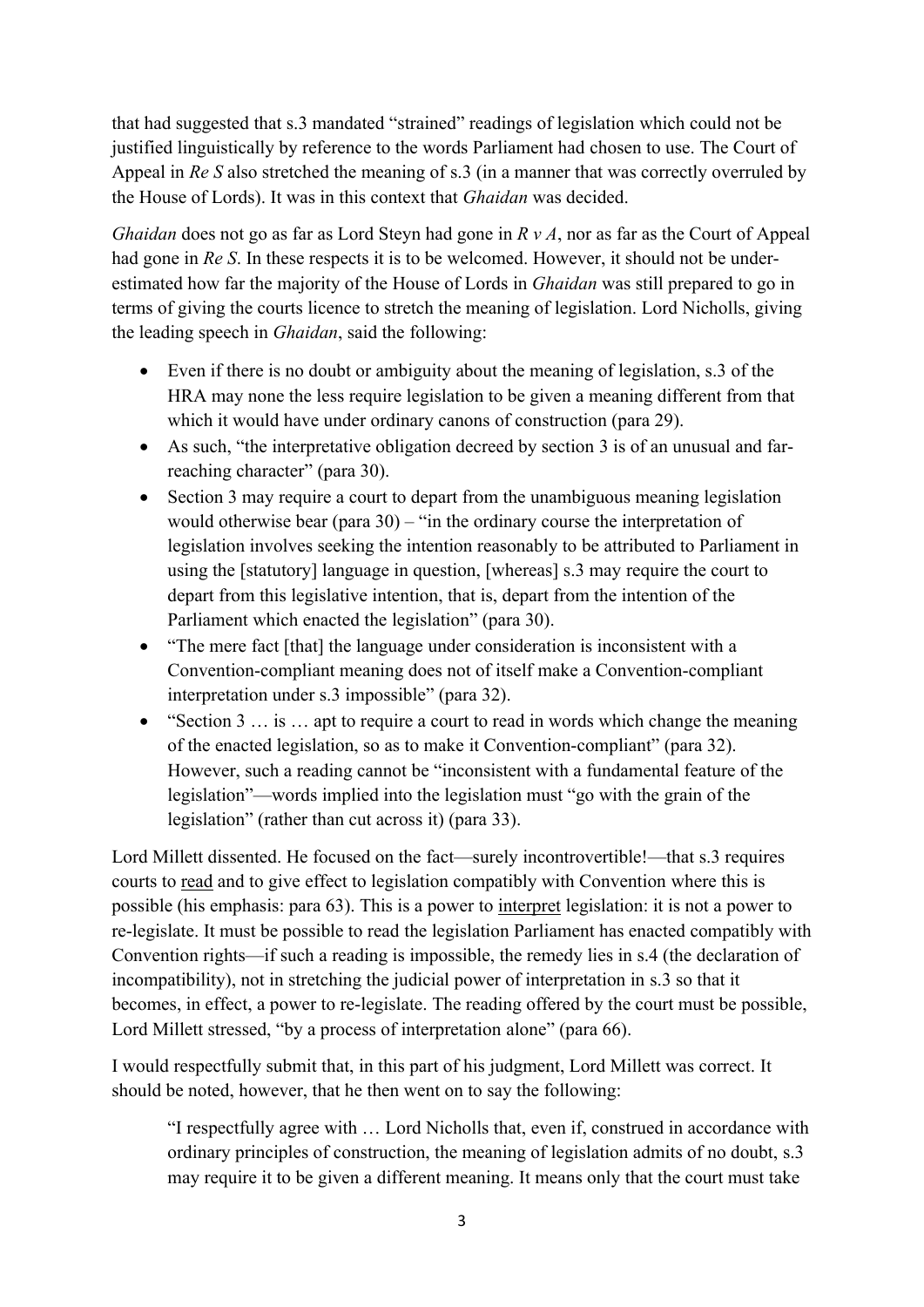that had suggested that s.3 mandated "strained" readings of legislation which could not be justified linguistically by reference to the words Parliament had chosen to use. The Court of Appeal in *Re S* also stretched the meaning of s.3 (in a manner that was correctly overruled by the House of Lords). It was in this context that *Ghaidan* was decided.

*Ghaidan* does not go as far as Lord Steyn had gone in *R v A*, nor as far as the Court of Appeal had gone in *Re S*. In these respects it is to be welcomed. However, it should not be underestimated how far the majority of the House of Lords in *Ghaidan* was still prepared to go in terms of giving the courts licence to stretch the meaning of legislation. Lord Nicholls, giving the leading speech in *Ghaidan*, said the following:

- Even if there is no doubt or ambiguity about the meaning of legislation, s.3 of the HRA may none the less require legislation to be given a meaning different from that which it would have under ordinary canons of construction (para 29).
- As such, "the interpretative obligation decreed by section 3 is of an unusual and farreaching character" (para 30).
- Section 3 may require a court to depart from the unambiguous meaning legislation would otherwise bear (para 30) – "in the ordinary course the interpretation of legislation involves seeking the intention reasonably to be attributed to Parliament in using the [statutory] language in question, [whereas] s.3 may require the court to depart from this legislative intention, that is, depart from the intention of the Parliament which enacted the legislation" (para 30).
- "The mere fact [that] the language under consideration is inconsistent with a Convention-compliant meaning does not of itself make a Convention-compliant interpretation under s.3 impossible" (para 32).
- "Section 3 … is … apt to require a court to read in words which change the meaning of the enacted legislation, so as to make it Convention-compliant" (para 32). However, such a reading cannot be "inconsistent with a fundamental feature of the legislation"—words implied into the legislation must "go with the grain of the legislation" (rather than cut across it) (para 33).

Lord Millett dissented. He focused on the fact—surely incontrovertible!—that s.3 requires courts to read and to give effect to legislation compatibly with Convention where this is possible (his emphasis: para 63). This is a power to interpret legislation: it is not a power to re-legislate. It must be possible to read the legislation Parliament has enacted compatibly with Convention rights—if such a reading is impossible, the remedy lies in s.4 (the declaration of incompatibility), not in stretching the judicial power of interpretation in s.3 so that it becomes, in effect, a power to re-legislate. The reading offered by the court must be possible, Lord Millett stressed, "by a process of interpretation alone" (para 66).

I would respectfully submit that, in this part of his judgment, Lord Millett was correct. It should be noted, however, that he then went on to say the following:

"I respectfully agree with … Lord Nicholls that, even if, construed in accordance with ordinary principles of construction, the meaning of legislation admits of no doubt, s.3 may require it to be given a different meaning. It means only that the court must take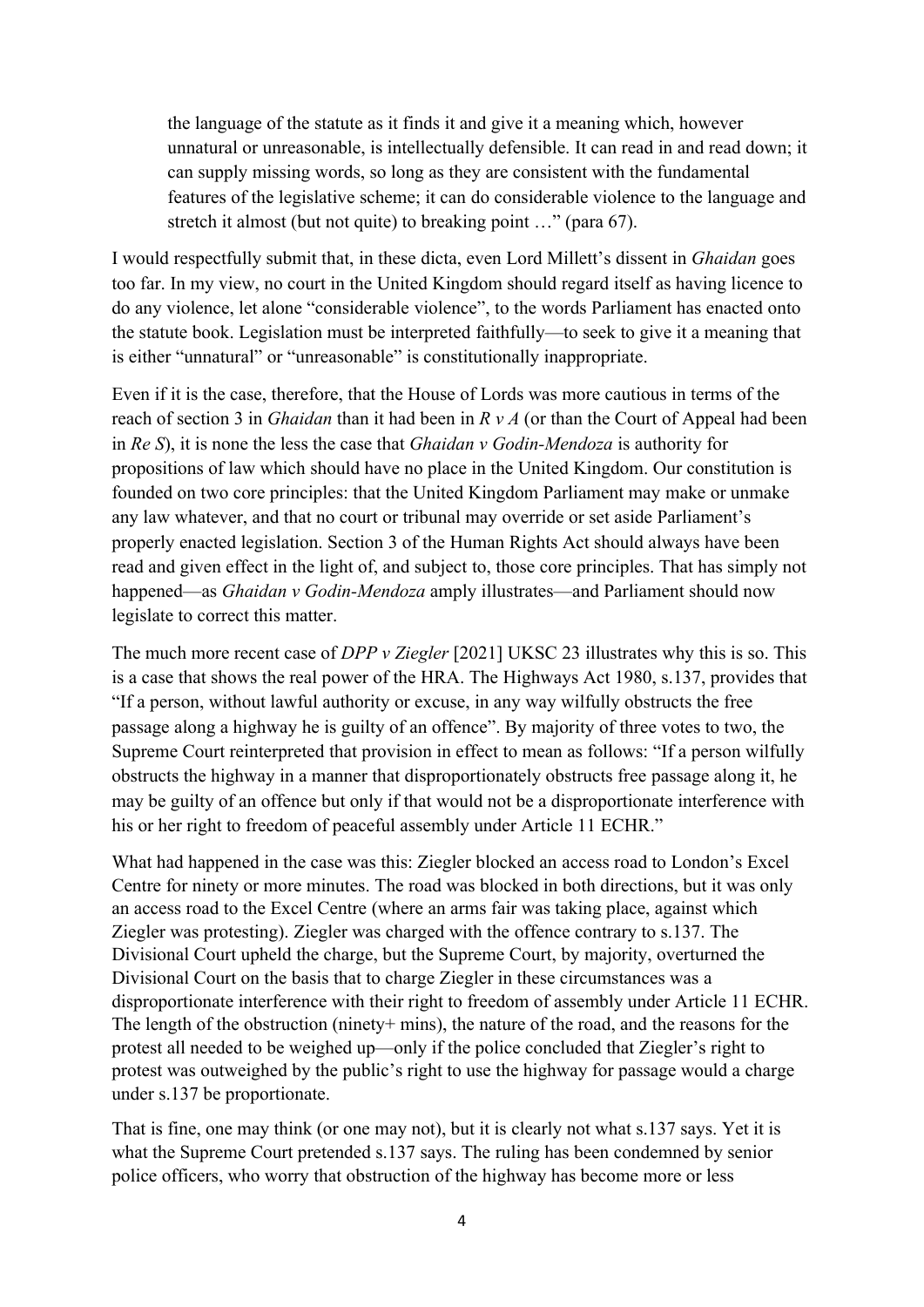the language of the statute as it finds it and give it a meaning which, however unnatural or unreasonable, is intellectually defensible. It can read in and read down; it can supply missing words, so long as they are consistent with the fundamental features of the legislative scheme; it can do considerable violence to the language and stretch it almost (but not quite) to breaking point …" (para 67).

I would respectfully submit that, in these dicta, even Lord Millett's dissent in *Ghaidan* goes too far. In my view, no court in the United Kingdom should regard itself as having licence to do any violence, let alone "considerable violence", to the words Parliament has enacted onto the statute book. Legislation must be interpreted faithfully—to seek to give it a meaning that is either "unnatural" or "unreasonable" is constitutionally inappropriate.

Even if it is the case, therefore, that the House of Lords was more cautious in terms of the reach of section 3 in *Ghaidan* than it had been in *R v A* (or than the Court of Appeal had been in *Re S*), it is none the less the case that *Ghaidan v Godin-Mendoza* is authority for propositions of law which should have no place in the United Kingdom. Our constitution is founded on two core principles: that the United Kingdom Parliament may make or unmake any law whatever, and that no court or tribunal may override or set aside Parliament's properly enacted legislation. Section 3 of the Human Rights Act should always have been read and given effect in the light of, and subject to, those core principles. That has simply not happened—as *Ghaidan v Godin-Mendoza* amply illustrates—and Parliament should now legislate to correct this matter.

The much more recent case of *DPP v Ziegler* [2021] UKSC 23 illustrates why this is so. This is a case that shows the real power of the HRA. The Highways Act 1980, s.137, provides that "If a person, without lawful authority or excuse, in any way wilfully obstructs the free passage along a highway he is guilty of an offence". By majority of three votes to two, the Supreme Court reinterpreted that provision in effect to mean as follows: "If a person wilfully obstructs the highway in a manner that disproportionately obstructs free passage along it, he may be guilty of an offence but only if that would not be a disproportionate interference with his or her right to freedom of peaceful assembly under Article 11 ECHR."

What had happened in the case was this: Ziegler blocked an access road to London's Excel Centre for ninety or more minutes. The road was blocked in both directions, but it was only an access road to the Excel Centre (where an arms fair was taking place, against which Ziegler was protesting). Ziegler was charged with the offence contrary to s.137. The Divisional Court upheld the charge, but the Supreme Court, by majority, overturned the Divisional Court on the basis that to charge Ziegler in these circumstances was a disproportionate interference with their right to freedom of assembly under Article 11 ECHR. The length of the obstruction (ninety+ mins), the nature of the road, and the reasons for the protest all needed to be weighed up—only if the police concluded that Ziegler's right to protest was outweighed by the public's right to use the highway for passage would a charge under s.137 be proportionate.

That is fine, one may think (or one may not), but it is clearly not what s.137 says. Yet it is what the Supreme Court pretended s.137 says. The ruling has been condemned by senior police officers, who worry that obstruction of the highway has become more or less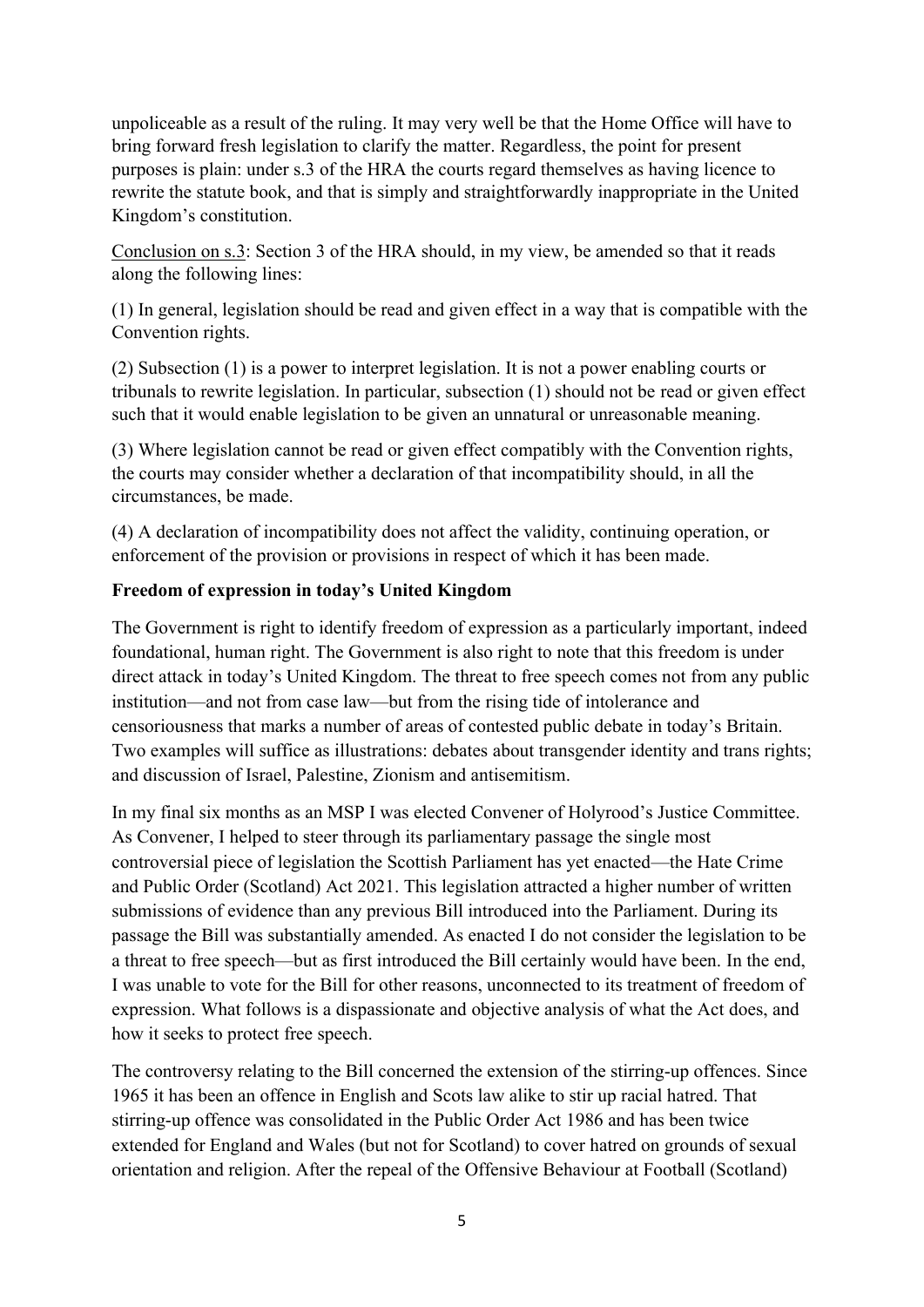unpoliceable as a result of the ruling. It may very well be that the Home Office will have to bring forward fresh legislation to clarify the matter. Regardless, the point for present purposes is plain: under s.3 of the HRA the courts regard themselves as having licence to rewrite the statute book, and that is simply and straightforwardly inappropriate in the United Kingdom's constitution.

Conclusion on s.3: Section 3 of the HRA should, in my view, be amended so that it reads along the following lines:

(1) In general, legislation should be read and given effect in a way that is compatible with the Convention rights.

(2) Subsection (1) is a power to interpret legislation. It is not a power enabling courts or tribunals to rewrite legislation. In particular, subsection (1) should not be read or given effect such that it would enable legislation to be given an unnatural or unreasonable meaning.

(3) Where legislation cannot be read or given effect compatibly with the Convention rights, the courts may consider whether a declaration of that incompatibility should, in all the circumstances, be made.

(4) A declaration of incompatibility does not affect the validity, continuing operation, or enforcement of the provision or provisions in respect of which it has been made.

## **Freedom of expression in today's United Kingdom**

The Government is right to identify freedom of expression as a particularly important, indeed foundational, human right. The Government is also right to note that this freedom is under direct attack in today's United Kingdom. The threat to free speech comes not from any public institution—and not from case law—but from the rising tide of intolerance and censoriousness that marks a number of areas of contested public debate in today's Britain. Two examples will suffice as illustrations: debates about transgender identity and trans rights; and discussion of Israel, Palestine, Zionism and antisemitism.

In my final six months as an MSP I was elected Convener of Holyrood's Justice Committee. As Convener, I helped to steer through its parliamentary passage the single most controversial piece of legislation the Scottish Parliament has yet enacted—the Hate Crime and Public Order (Scotland) Act 2021. This legislation attracted a higher number of written submissions of evidence than any previous Bill introduced into the Parliament. During its passage the Bill was substantially amended. As enacted I do not consider the legislation to be a threat to free speech—but as first introduced the Bill certainly would have been. In the end, I was unable to vote for the Bill for other reasons, unconnected to its treatment of freedom of expression. What follows is a dispassionate and objective analysis of what the Act does, and how it seeks to protect free speech.

The controversy relating to the Bill concerned the extension of the stirring-up offences. Since 1965 it has been an offence in English and Scots law alike to stir up racial hatred. That stirring-up offence was consolidated in the Public Order Act 1986 and has been twice extended for England and Wales (but not for Scotland) to cover hatred on grounds of sexual orientation and religion. After the repeal of the Offensive Behaviour at Football (Scotland)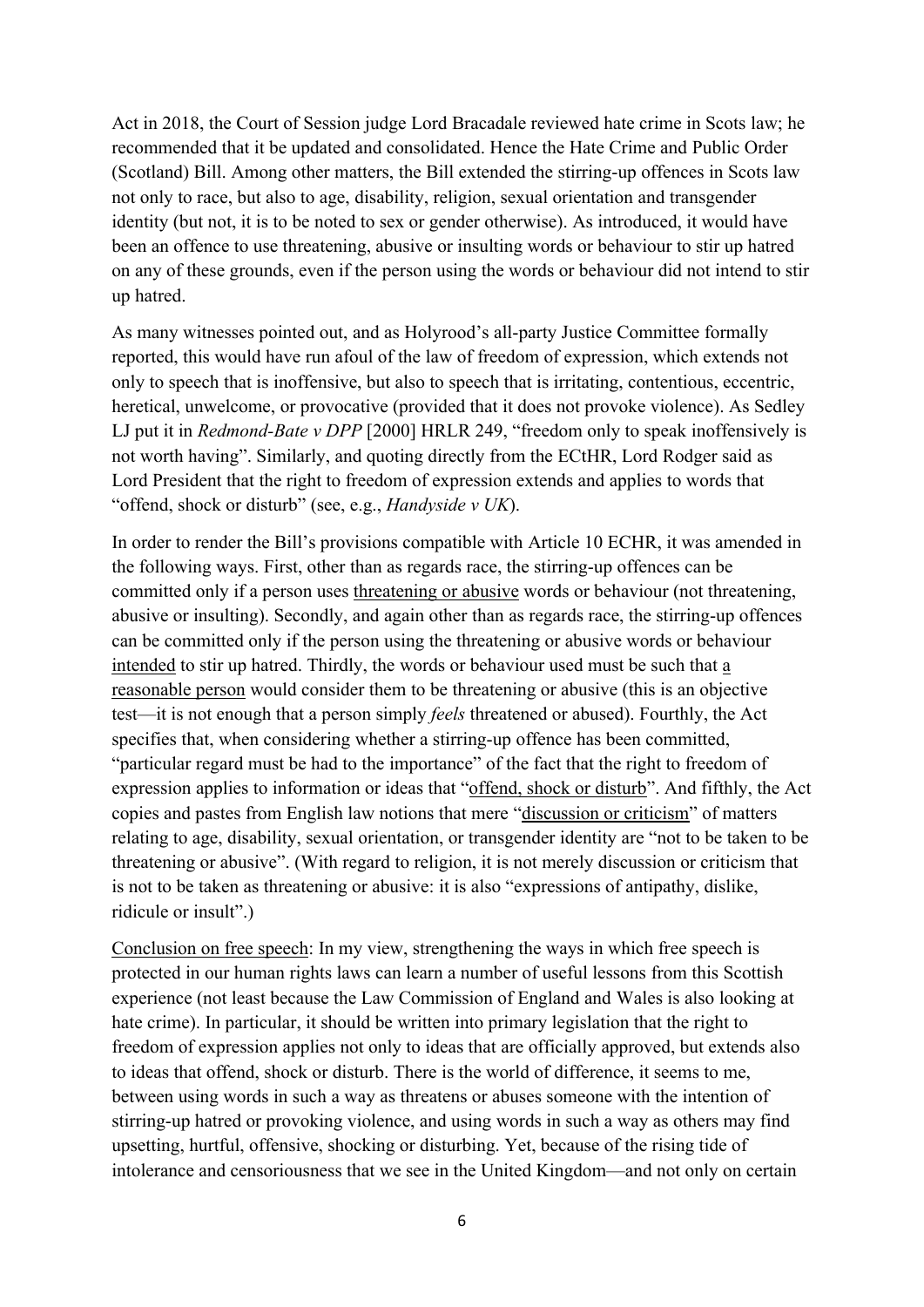Act in 2018, the Court of Session judge Lord Bracadale reviewed hate crime in Scots law; he recommended that it be updated and consolidated. Hence the Hate Crime and Public Order (Scotland) Bill. Among other matters, the Bill extended the stirring-up offences in Scots law not only to race, but also to age, disability, religion, sexual orientation and transgender identity (but not, it is to be noted to sex or gender otherwise). As introduced, it would have been an offence to use threatening, abusive or insulting words or behaviour to stir up hatred on any of these grounds, even if the person using the words or behaviour did not intend to stir up hatred.

As many witnesses pointed out, and as Holyrood's all-party Justice Committee formally reported, this would have run afoul of the law of freedom of expression, which extends not only to speech that is inoffensive, but also to speech that is irritating, contentious, eccentric, heretical, unwelcome, or provocative (provided that it does not provoke violence). As Sedley LJ put it in *Redmond-Bate v DPP* [2000] HRLR 249, "freedom only to speak inoffensively is not worth having". Similarly, and quoting directly from the ECtHR, Lord Rodger said as Lord President that the right to freedom of expression extends and applies to words that "offend, shock or disturb" (see, e.g., *Handyside v UK*).

In order to render the Bill's provisions compatible with Article 10 ECHR, it was amended in the following ways. First, other than as regards race, the stirring-up offences can be committed only if a person uses threatening or abusive words or behaviour (not threatening, abusive or insulting). Secondly, and again other than as regards race, the stirring-up offences can be committed only if the person using the threatening or abusive words or behaviour intended to stir up hatred. Thirdly, the words or behaviour used must be such that a reasonable person would consider them to be threatening or abusive (this is an objective test—it is not enough that a person simply *feels* threatened or abused). Fourthly, the Act specifies that, when considering whether a stirring-up offence has been committed, "particular regard must be had to the importance" of the fact that the right to freedom of expression applies to information or ideas that "offend, shock or disturb". And fifthly, the Act copies and pastes from English law notions that mere "discussion or criticism" of matters relating to age, disability, sexual orientation, or transgender identity are "not to be taken to be threatening or abusive". (With regard to religion, it is not merely discussion or criticism that is not to be taken as threatening or abusive: it is also "expressions of antipathy, dislike, ridicule or insult".)

Conclusion on free speech: In my view, strengthening the ways in which free speech is protected in our human rights laws can learn a number of useful lessons from this Scottish experience (not least because the Law Commission of England and Wales is also looking at hate crime). In particular, it should be written into primary legislation that the right to freedom of expression applies not only to ideas that are officially approved, but extends also to ideas that offend, shock or disturb. There is the world of difference, it seems to me, between using words in such a way as threatens or abuses someone with the intention of stirring-up hatred or provoking violence, and using words in such a way as others may find upsetting, hurtful, offensive, shocking or disturbing. Yet, because of the rising tide of intolerance and censoriousness that we see in the United Kingdom—and not only on certain